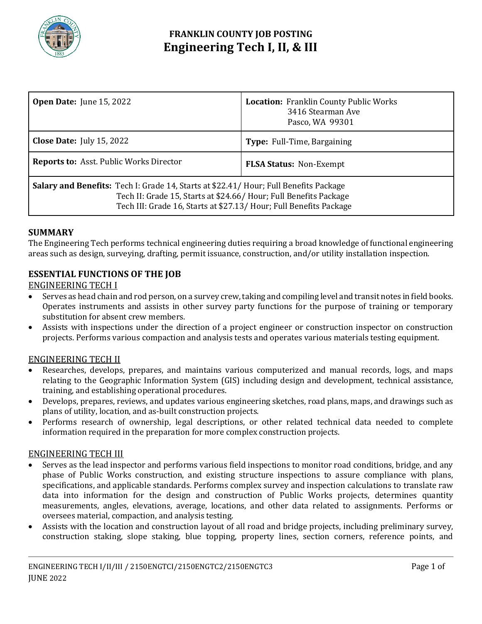

# **FRANKLIN COUNTY JOB POSTING Engineering Tech I, II, & III**

| <b>Open Date:</b> June 15, 2022                                                                                                                                                                                                  | <b>Location:</b> Franklin County Public Works<br>3416 Stearman Ave<br>Pasco, WA 99301 |
|----------------------------------------------------------------------------------------------------------------------------------------------------------------------------------------------------------------------------------|---------------------------------------------------------------------------------------|
| <b>Close Date:</b> July 15, 2022                                                                                                                                                                                                 | <b>Type:</b> Full-Time, Bargaining                                                    |
| <b>Reports to: Asst. Public Works Director</b>                                                                                                                                                                                   | <b>FLSA Status: Non-Exempt</b>                                                        |
| Salary and Benefits: Tech I: Grade 14, Starts at \$22.41/ Hour; Full Benefits Package<br>Tech II: Grade 15, Starts at \$24.66/ Hour; Full Benefits Package<br>Tech III: Grade 16, Starts at \$27.13/ Hour; Full Benefits Package |                                                                                       |

# **SUMMARY**

The Engineering Tech performs technical engineering duties requiring a broad knowledge of functional engineering areas such as design, surveying, drafting, permit issuance, construction, and/or utility installation inspection.

# **ESSENTIAL FUNCTIONS OF THE JOB**

## ENGINEERING TECH I

- Serves as head chain and rod person, on a survey crew, taking and compiling level and transit notes in field books. Operates instruments and assists in other survey party functions for the purpose of training or temporary substitution for absent crew members.
- Assists with inspections under the direction of a project engineer or construction inspector on construction projects. Performs various compaction and analysis tests and operates various materials testing equipment.

## ENGINEERING TECH II

- Researches, develops, prepares, and maintains various computerized and manual records, logs, and maps relating to the Geographic Information System (GIS) including design and development, technical assistance, training, and establishing operational procedures.
- Develops, prepares, reviews, and updates various engineering sketches, road plans, maps, and drawings such as plans of utility, location, and as-built construction projects.
- Performs research of ownership, legal descriptions, or other related technical data needed to complete information required in the preparation for more complex construction projects.

#### ENGINEERING TECH III

- Serves as the lead inspector and performs various field inspections to monitor road conditions, bridge, and any phase of Public Works construction, and existing structure inspections to assure compliance with plans, specifications, and applicable standards. Performs complex survey and inspection calculations to translate raw data into information for the design and construction of Public Works projects, determines quantity measurements, angles, elevations, average, locations, and other data related to assignments. Performs or oversees material, compaction, and analysis testing.
- Assists with the location and construction layout of all road and bridge projects, including preliminary survey, construction staking, slope staking, blue topping, property lines, section corners, reference points, and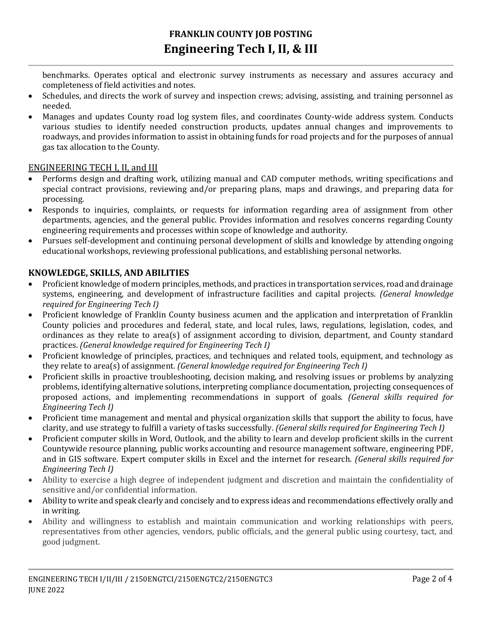benchmarks. Operates optical and electronic survey instruments as necessary and assures accuracy and completeness of field activities and notes.

- Schedules, and directs the work of survey and inspection crews; advising, assisting, and training personnel as needed.
- Manages and updates County road log system files, and coordinates County-wide address system. Conducts various studies to identify needed construction products, updates annual changes and improvements to roadways, and provides information to assist in obtaining funds for road projects and for the purposes of annual gas tax allocation to the County.

# ENGINEERING TECH I, II, and III

- Performs design and drafting work, utilizing manual and CAD computer methods, writing specifications and special contract provisions, reviewing and/or preparing plans, maps and drawings, and preparing data for processing.
- Responds to inquiries, complaints, or requests for information regarding area of assignment from other departments, agencies, and the general public. Provides information and resolves concerns regarding County engineering requirements and processes within scope of knowledge and authority.
- Pursues self-development and continuing personal development of skills and knowledge by attending ongoing educational workshops, reviewing professional publications, and establishing personal networks.

# **KNOWLEDGE, SKILLS, AND ABILITIES**

- Proficient knowledge of modern principles, methods, and practices in transportation services, road and drainage systems, engineering, and development of infrastructure facilities and capital projects. *(General knowledge required for Engineering Tech I)*
- Proficient knowledge of Franklin County business acumen and the application and interpretation of Franklin County policies and procedures and federal, state, and local rules, laws, regulations, legislation, codes, and ordinances as they relate to area(s) of assignment according to division, department, and County standard practices. *(General knowledge required for Engineering Tech I)*
- Proficient knowledge of principles, practices, and techniques and related tools, equipment, and technology as they relate to area(s) of assignment. *(General knowledge required for Engineering Tech I)*
- Proficient skills in proactive troubleshooting, decision making, and resolving issues or problems by analyzing problems, identifying alternative solutions, interpreting compliance documentation, projecting consequences of proposed actions, and implementing recommendations in support of goals. *(General skills required for Engineering Tech I)*
- Proficient time management and mental and physical organization skills that support the ability to focus, have clarity, and use strategy to fulfill a variety of tasks successfully. *(General skills required for Engineering Tech I)*
- Proficient computer skills in Word, Outlook, and the ability to learn and develop proficient skills in the current Countywide resource planning, public works accounting and resource management software, engineering PDF, and in GIS software. Expert computer skills in Excel and the internet for research. *(General skills required for Engineering Tech I)*
- Ability to exercise a high degree of independent judgment and discretion and maintain the confidentiality of sensitive and/or confidential information.
- Ability to write and speak clearly and concisely and to express ideas and recommendations effectively orally and in writing.
- Ability and willingness to establish and maintain communication and working relationships with peers, representatives from other agencies, vendors, public officials, and the general public using courtesy, tact, and good judgment.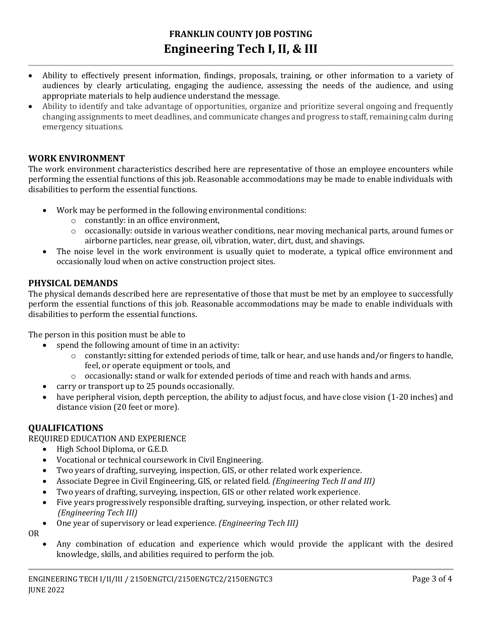# **FRANKLIN COUNTY JOB POSTING Engineering Tech I, II, & III**

- Ability to effectively present information, findings, proposals, training, or other information to a variety of audiences by clearly articulating, engaging the audience, assessing the needs of the audience, and using appropriate materials to help audience understand the message.
- Ability to identify and take advantage of opportunities, organize and prioritize several ongoing and frequently changing assignments to meet deadlines, and communicate changes and progress to staff, remaining calm during emergency situations.

# **WORK ENVIRONMENT**

The work environment characteristics described here are representative of those an employee encounters while performing the essential functions of this job. Reasonable accommodations may be made to enable individuals with disabilities to perform the essential functions.

- Work may be performed in the following environmental conditions:
	- o constantly: in an office environment,
	- o occasionally: outside in various weather conditions, near moving mechanical parts, around fumes or airborne particles, near grease, oil, vibration, water, dirt, dust, and shavings.
- The noise level in the work environment is usually quiet to moderate, a typical office environment and occasionally loud when on active construction project sites.

#### **PHYSICAL DEMANDS**

The physical demands described here are representative of those that must be met by an employee to successfully perform the essential functions of this job. Reasonable accommodations may be made to enable individuals with disabilities to perform the essential functions.

The person in this position must be able to

- spend the following amount of time in an activity:
	- o constantly**:** sitting for extended periods of time, talk or hear, and use hands and/or fingers to handle, feel, or operate equipment or tools, and
	- o occasionally**:** stand or walk for extended periods of time and reach with hands and arms.
	- carry or transport up to 25 pounds occasionally.
- have peripheral vision, depth perception, the ability to adjust focus, and have close vision (1-20 inches) and distance vision (20 feet or more).

#### **QUALIFICATIONS**

REQUIRED EDUCATION AND EXPERIENCE

- High School Diploma, or G.E.D.
- Vocational or technical coursework in Civil Engineering.
- Two years of drafting, surveying, inspection, GIS, or other related work experience.
- Associate Degree in Civil Engineering, GIS, or related field. *(Engineering Tech II and III)*
- Two years of drafting, surveying, inspection, GIS or other related work experience.
- Five years progressively responsible drafting, surveying, inspection, or other related work. *(Engineering Tech III)*
- One year of supervisory or lead experience. *(Engineering Tech III)*

OR

 Any combination of education and experience which would provide the applicant with the desired knowledge, skills, and abilities required to perform the job.